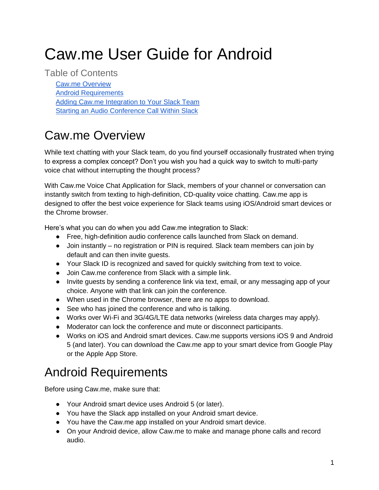# Caw.me User Guide for Android

Table of Contents [Caw.me Overview](#page-0-0) [Android Requirements](#page-0-1) [Adding Caw.me Integration to Your Slack Team](#page-1-0) Starting [an Audio Conference Call Within Slack](#page-3-0)

## <span id="page-0-0"></span>Caw.me Overview

While text chatting with your Slack team, do you find yourself occasionally frustrated when trying to express a complex concept? Don't you wish you had a quick way to switch to multi-party voice chat without interrupting the thought process?

With Caw.me Voice Chat Application for Slack, members of your channel or conversation can instantly switch from texting to high-definition, CD-quality voice chatting. Caw.me app is designed to offer the best voice experience for Slack teams using iOS/Android smart devices or the Chrome browser.

Here's what you can do when you add Caw.me integration to Slack:

- Free, high-definition audio conference calls launched from Slack on demand.
- Join instantly no registration or PIN is required. Slack team members can join by default and can then invite guests.
- Your Slack ID is recognized and saved for quickly switching from text to voice.
- Join Caw.me conference from Slack with a simple link.
- Invite guests by sending a conference link via text, email, or any messaging app of your choice. Anyone with that link can join the conference.
- When used in the Chrome browser, there are no apps to download.
- See who has joined the conference and who is talking.
- Works over Wi-Fi and 3G/4G/LTE data networks (wireless data charges may apply).
- Moderator can lock the conference and mute or disconnect participants.
- Works on iOS and Android smart devices. Caw.me supports versions iOS 9 and Android 5 (and later). You can download the Caw.me app to your smart device from Google Play or the Apple App Store.

### <span id="page-0-1"></span>Android Requirements

Before using Caw.me, make sure that:

- Your Android smart device uses Android 5 (or later).
- You have the Slack app installed on your Android smart device.
- You have the Caw.me app installed on your Android smart device.
- On your Android device, allow Caw.me to make and manage phone calls and record audio.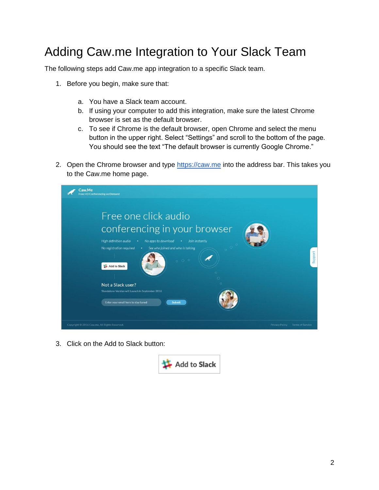#### <span id="page-1-0"></span>Adding Caw.me Integration to Your Slack Team

The following steps add Caw.me app integration to a specific Slack team.

- 1. Before you begin, make sure that:
	- a. You have a Slack team account.
	- b. If using your computer to add this integration, make sure the latest Chrome browser is set as the default browser.
	- c. To see if Chrome is the default browser, open Chrome and select the menu button in the upper right. Select "Settings" and scroll to the bottom of the page. You should see the text "The default browser is currently Google Chrome."
- 2. Open the Chrome browser and type [https://caw.me](https://caw.me/) into the address bar. This takes you to the Caw.me home page.

| Caw.Me<br><b>Free HD Conferencing on Demand</b>                                                                                                                                                                                                                                                        |
|--------------------------------------------------------------------------------------------------------------------------------------------------------------------------------------------------------------------------------------------------------------------------------------------------------|
| Free one click audio<br>conferencing in your browser<br>High definition audio<br>No apps to download<br>Join instantly<br>٠<br>$\bullet$<br>No registration required<br>See who joined and who is talking<br>٠<br>Support<br>000<br>Add to Slack<br>$\circ$<br>$\circ$<br>$\circ$<br>Not a Slack user? |
| Standalone Version will Launch in September 2016<br>Enter your email here to stay tuned<br>Submit                                                                                                                                                                                                      |
| Copyright @ 2016 Caw.me, All Rights Reserved.<br><b>Privacy Policy</b><br><b>Terms of Service</b>                                                                                                                                                                                                      |

3. Click on the Add to Slack button:

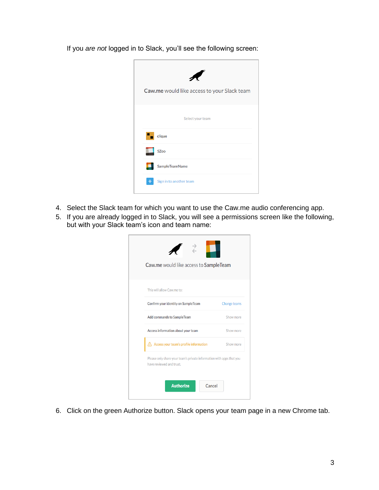If you *are not* logged in to Slack, you'll see the following screen:



- 4. Select the Slack team for which you want to use the Caw.me audio conferencing app.
- 5. If you are already logged in to Slack, you will see a permissions screen like the following, but with your Slack team's icon and team name:

| Caw.me would like access to SampleTeam                                                           |              |
|--------------------------------------------------------------------------------------------------|--------------|
| This will allow Caw.me to:                                                                       |              |
| Confirm your identity on SampleTeam                                                              | Change teams |
| Add commands to SampleTeam                                                                       | Show more    |
| Access information about your team                                                               | Show more    |
| Access your team's profile information                                                           | Show more    |
| Please only share your team's private information with apps that you<br>have reviewed and trust. |              |

6. Click on the green Authorize button. Slack opens your team page in a new Chrome tab.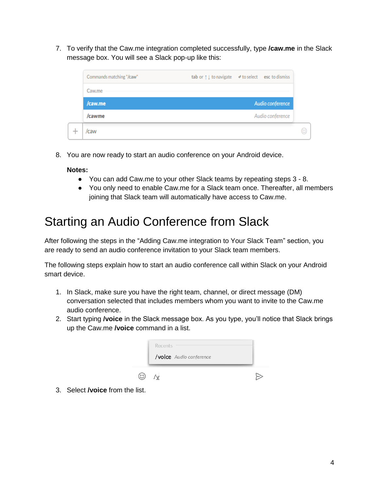7. To verify that the Caw.me integration completed successfully, type **/caw.me** in the Slack message box. You will see a Slack pop-up like this:



8. You are now ready to start an audio conference on your Android device.

#### **Notes:**

- You can add Caw.me to your other Slack teams by repeating steps 3 8.
- You only need to enable Caw.me for a Slack team once. Thereafter, all members joining that Slack team will automatically have access to Caw.me.

#### <span id="page-3-0"></span>Starting an Audio Conference from Slack

After following the steps in the ["Adding Caw.me integration to Your Slack Team"](#page-1-0) section, you are ready to send an audio conference invitation to your Slack team members.

The following steps explain how to start an audio conference call within Slack on your Android smart device.

- 1. In Slack, make sure you have the right team, channel, or direct message (DM) conversation selected that includes members whom you want to invite to the Caw.me audio conference.
- 2. Start typing **/voice** in the Slack message box. As you type, you'll notice that Slack brings up the Caw.me **/voice** command in a list.

| Recents<br>/voice Audio conference |  |
|------------------------------------|--|
|                                    |  |

3. Select **/voice** from the list.